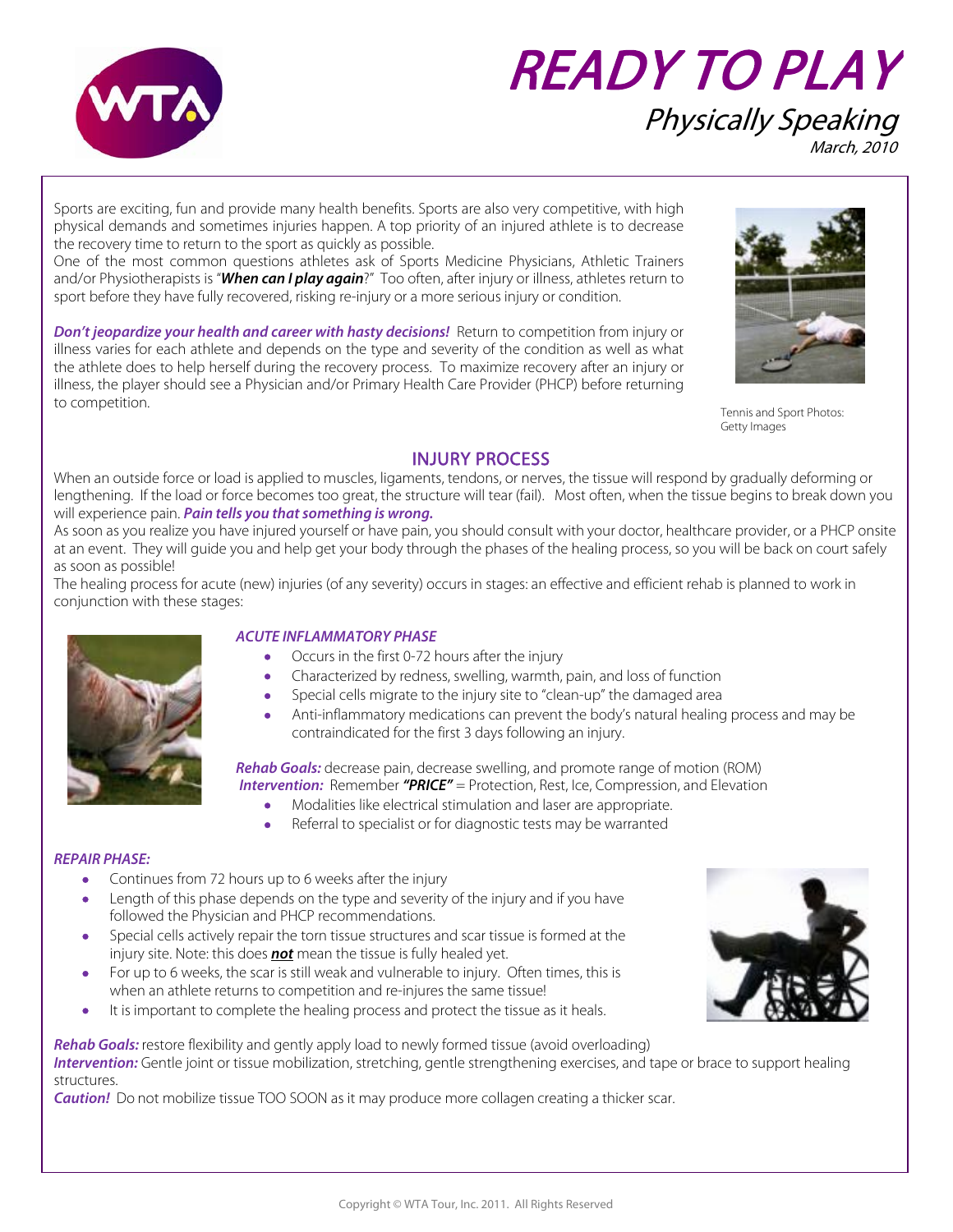

# READY TO PLAY Physically Speaking March, 2010

Sports are exciting, fun and provide many health benefits. Sports are also very competitive, with high physical demands and sometimes injuries happen. A top priority of an injured athlete is to decrease the recovery time to return to the sport as quickly as possible.

One of the most common questions athletes ask of Sports Medicine Physicians, Athletic Trainers and/or Physiotherapists is "**When can I play again**?" Too often, after injury or illness, athletes return to sport before they have fully recovered, risking re-injury or a more serious injury or condition.

**Don't jeopardize your health and career with hasty decisions!** Return to competition from injury or illness varies for each athlete and depends on the type and severity of the condition as well as what the athlete does to help herself during the recovery process. To maximize recovery after an injury or illness, the player should see a Physician and/or Primary Health Care Provider (PHCP) before returning to competition.



Tennis and Sport Photos: Getty Images

## INJURY PROCESS

When an outside force or load is applied to muscles, ligaments, tendons, or nerves, the tissue will respond by gradually deforming or lengthening. If the load or force becomes too great, the structure will tear (fail). Most often, when the tissue begins to break down you will experience pain. **Pain tells you that something is wrong.**

As soon as you realize you have injured yourself or have pain, you should consult with your doctor, healthcare provider, or a PHCP onsite at an event. They will guide you and help get your body through the phases of the healing process, so you will be back on court safely as soon as possible!

The healing process for acute (new) injuries (of any severity) occurs in stages: an effective and efficient rehab is planned to work in conjunction with these stages:



#### **ACUTE INFLAMMATORY PHASE**

- Occurs in the first 0-72 hours after the injury
- Characterized by redness, swelling, warmth, pain, and loss of function
- Special cells migrate to the injury site to "clean-up" the damaged area
- Anti-inflammatory medications can prevent the body's natural healing process and may be contraindicated for the first 3 days following an injury.

**Rehab Goals:** decrease pain, decrease swelling, and promote range of motion (ROM) **Intervention:** Remember "PRICE" = Protection, Rest, Ice, Compression, and Elevation

- Modalities like electrical stimulation and laser are appropriate.
- Referral to specialist or for diagnostic tests may be warranted

#### **REPAIR PHASE:**

- Continues from 72 hours up to 6 weeks after the injury
- Length of this phase depends on the type and severity of the injury and if you have followed the Physician and PHCP recommendations.
- Special cells actively repair the torn tissue structures and scar tissue is formed at the injury site. Note: this does **not** mean the tissue is fully healed yet.
- For up to 6 weeks, the scar is still weak and vulnerable to injury. Often times, this is when an athlete returns to competition and re-injures the same tissue!
- It is important to complete the healing process and protect the tissue as it heals.



**Rehab Goals:** restore flexibility and gently apply load to newly formed tissue (avoid overloading)

**Intervention:** Gentle joint or tissue mobilization, stretching, gentle strengthening exercises, and tape or brace to support healing structures.

**Caution!** Do not mobilize tissue TOO SOON as it may produce more collagen creating a thicker scar.